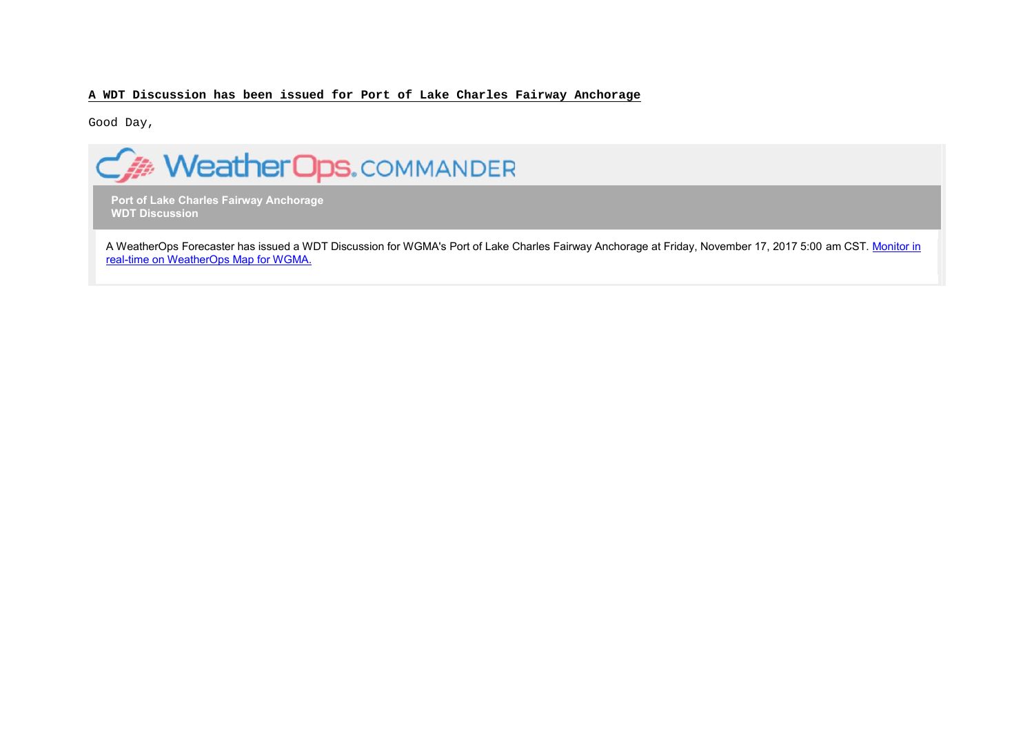# **A WDT Discussion has been issued for Port of Lake Charles Fairway Anchorage**

Good Day,



**Port of Lake Charles Fairway Anchorage WDT Discussion**

A WeatherOps Forecaster has issued a WDT Discussion for WGMA's Port of Lake Charles Fairway Anchorage at Friday, November 17, 2017 5:00 am CST. <u>Monitor in</u> Internal C real-time on WeatherOps Map for WGMA.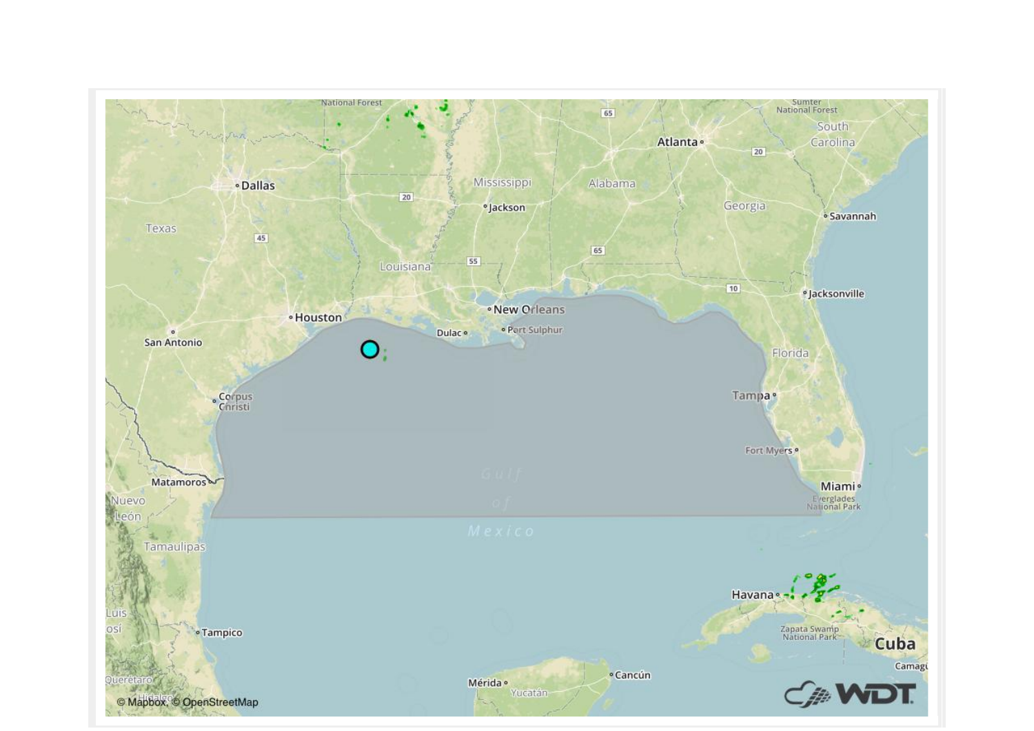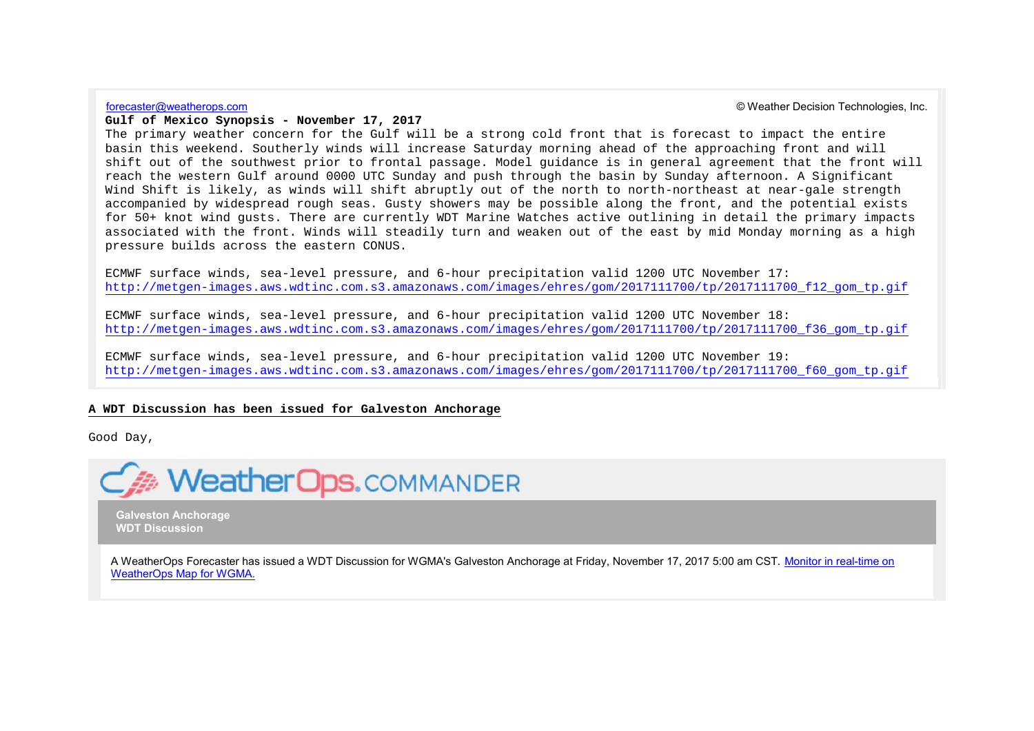## **Gulf of Mexico Synopsis - November 17, 2017**

The primary weather concern for the Gulf will be a strong cold front that is forecast to impact the entire basin this weekend. Southerly winds will increase Saturday morning ahead of the approaching front and will shift out of the southwest prior to frontal passage. Model guidance is in general agreement that the front will reach the western Gulf around 0000 UTC Sunday and push through the basin by Sunday afternoon. A Significant Wind Shift is likely, as winds will shift abruptly out of the north to north-northeast at near-gale strength accompanied by widespread rough seas. Gusty showers may be possible along the front, and the potential exists for 50+ knot wind gusts. There are currently WDT Marine Watches active outlining in detail the primary impacts associated with the front. Winds will steadily turn and weaken out of the east by mid Monday morning as a high pressure builds across the eastern CONUS.

ECMWF surface winds, sea-level pressure, and 6-hour precipitation valid 1200 UTC November 17: http://metgen-images.aws.wdtinc.com.s3.amazonaws.com/images/ehres/gom/2017111700/tp/2017111700\_f12\_gom\_tp.gif

ECMWF surface winds, sea-level pressure, and 6-hour precipitation valid 1200 UTC November 18: http://metgen-images.aws.wdtinc.com.s3.amazonaws.com/images/ehres/gom/2017111700/tp/2017111700\_f36\_gom\_tp.gif

ECMWF surface winds, sea-level pressure, and 6-hour precipitation valid 1200 UTC November 19: http://metgen-images.aws.wdtinc.com.s3.amazonaws.com/images/ehres/gom/2017111700/tp/2017111700\_f60\_gom\_tp.gif

## **A WDT Discussion has been issued for Galveston Anchorage**

Good Day,



**Galveston Anchorage WDT Discussion**

A WeatherOps Forecaster has issued a WDT Discussion for WGMA's Galveston Anchorage at Friday, November 17, 2017 5:00 am CST. Monitor in real-time on WeatherOps Map for WGMA.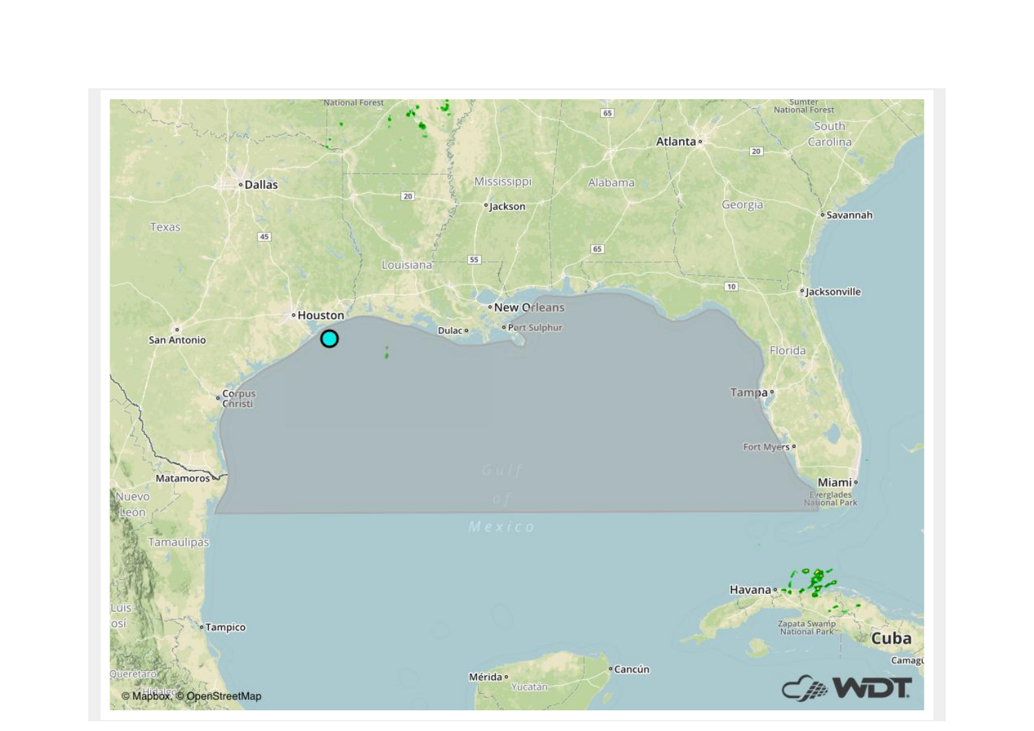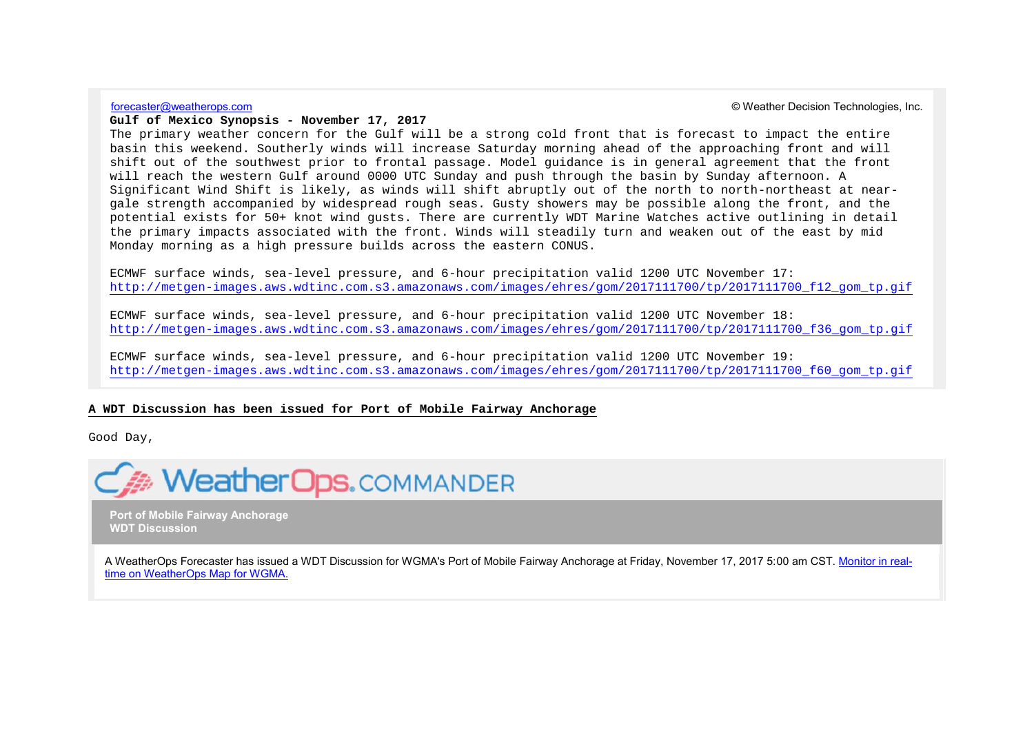## **Gulf of Mexico Synopsis - November 17, 2017**

The primary weather concern for the Gulf will be a strong cold front that is forecast to impact the entire basin this weekend. Southerly winds will increase Saturday morning ahead of the approaching front and will shift out of the southwest prior to frontal passage. Model guidance is in general agreement that the front will reach the western Gulf around 0000 UTC Sunday and push through the basin by Sunday afternoon. A Significant Wind Shift is likely, as winds will shift abruptly out of the north to north-northeast at neargale strength accompanied by widespread rough seas. Gusty showers may be possible along the front, and the potential exists for 50+ knot wind gusts. There are currently WDT Marine Watches active outlining in detail the primary impacts associated with the front. Winds will steadily turn and weaken out of the east by mid Monday morning as a high pressure builds across the eastern CONUS.

ECMWF surface winds, sea-level pressure, and 6-hour precipitation valid 1200 UTC November 17: http://metgen-images.aws.wdtinc.com.s3.amazonaws.com/images/ehres/gom/2017111700/tp/2017111700\_f12\_gom\_tp.gif

ECMWF surface winds, sea-level pressure, and 6-hour precipitation valid 1200 UTC November 18: http://metgen-images.aws.wdtinc.com.s3.amazonaws.com/images/ehres/gom/2017111700/tp/2017111700\_f36\_gom\_tp.gif

ECMWF surface winds, sea-level pressure, and 6-hour precipitation valid 1200 UTC November 19: http://metgen-images.aws.wdtinc.com.s3.amazonaws.com/images/ehres/gom/2017111700/tp/2017111700\_f60\_gom\_tp.gif

## **A WDT Discussion has been issued for Port of Mobile Fairway Anchorage**

Good Day,



**Port of Mobile Fairway Anchorage WDT Discussion**

A WeatherOps Forecaster has issued a WDT Discussion for WGMA's Port of Mobile Fairway Anchorage at Friday, November 17, 2017 5:00 am CST. Monitor in realtime on WeatherOps Map for WGMA.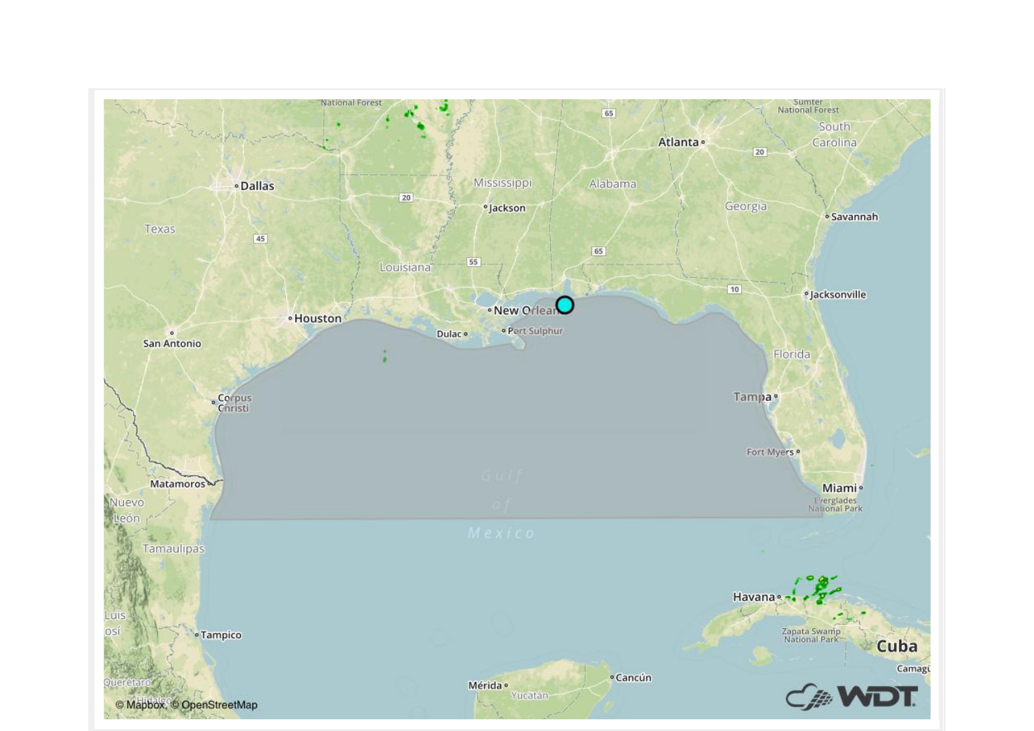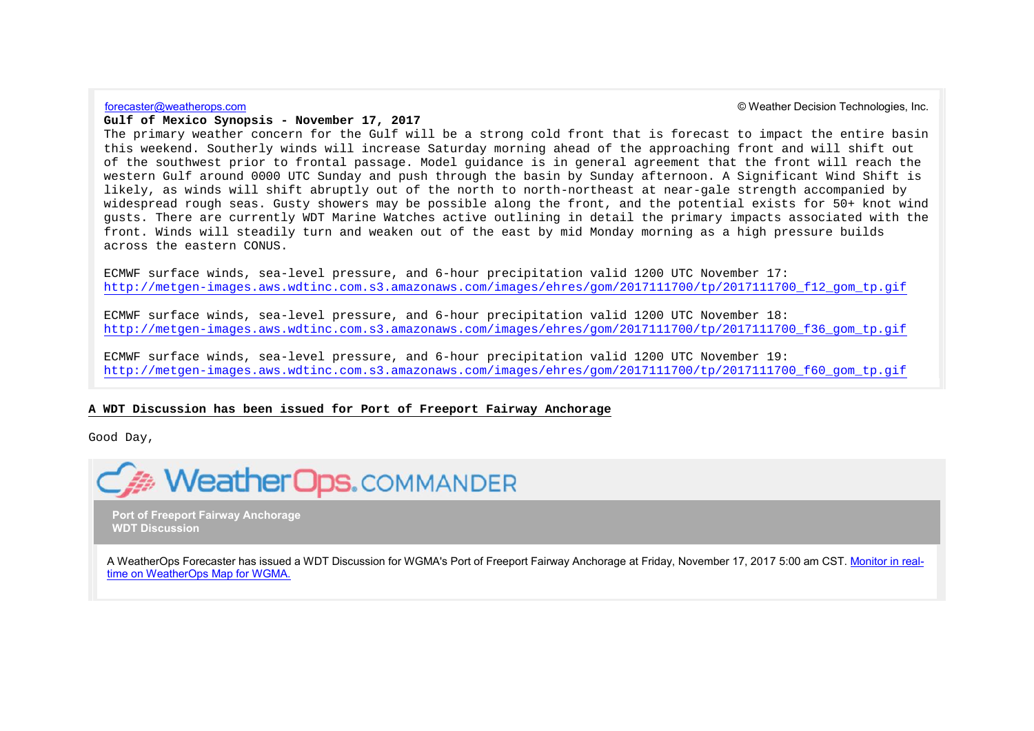### **Gulf of Mexico Synopsis - November 17, 2017**

The primary weather concern for the Gulf will be a strong cold front that is forecast to impact the entire basin this weekend. Southerly winds will increase Saturday morning ahead of the approaching front and will shift out of the southwest prior to frontal passage. Model guidance is in general agreement that the front will reach the western Gulf around 0000 UTC Sunday and push through the basin by Sunday afternoon. A Significant Wind Shift is likely, as winds will shift abruptly out of the north to north-northeast at near-gale strength accompanied by widespread rough seas. Gusty showers may be possible along the front, and the potential exists for 50+ knot wind gusts. There are currently WDT Marine Watches active outlining in detail the primary impacts associated with the front. Winds will steadily turn and weaken out of the east by mid Monday morning as a high pressure builds across the eastern CONUS.

ECMWF surface winds, sea-level pressure, and 6-hour precipitation valid 1200 UTC November 17: http://metgen-images.aws.wdtinc.com.s3.amazonaws.com/images/ehres/gom/2017111700/tp/2017111700\_f12\_gom\_tp.gif

ECMWF surface winds, sea-level pressure, and 6-hour precipitation valid 1200 UTC November 18: http://metgen-images.aws.wdtinc.com.s3.amazonaws.com/images/ehres/gom/2017111700/tp/2017111700\_f36\_gom\_tp.gif

ECMWF surface winds, sea-level pressure, and 6-hour precipitation valid 1200 UTC November 19: http://metgen-images.aws.wdtinc.com.s3.amazonaws.com/images/ehres/gom/2017111700/tp/2017111700\_f60\_gom\_tp.gif

## **A WDT Discussion has been issued for Port of Freeport Fairway Anchorage**

Good Day,



**Port of Freeport Fairway Anchorage WDT Discussion**

A WeatherOps Forecaster has issued a WDT Discussion for WGMA's Port of Freeport Fairway Anchorage at Friday, November 17, 2017 5:00 am CST, Monitor in realtime on WeatherOps Map for WGMA.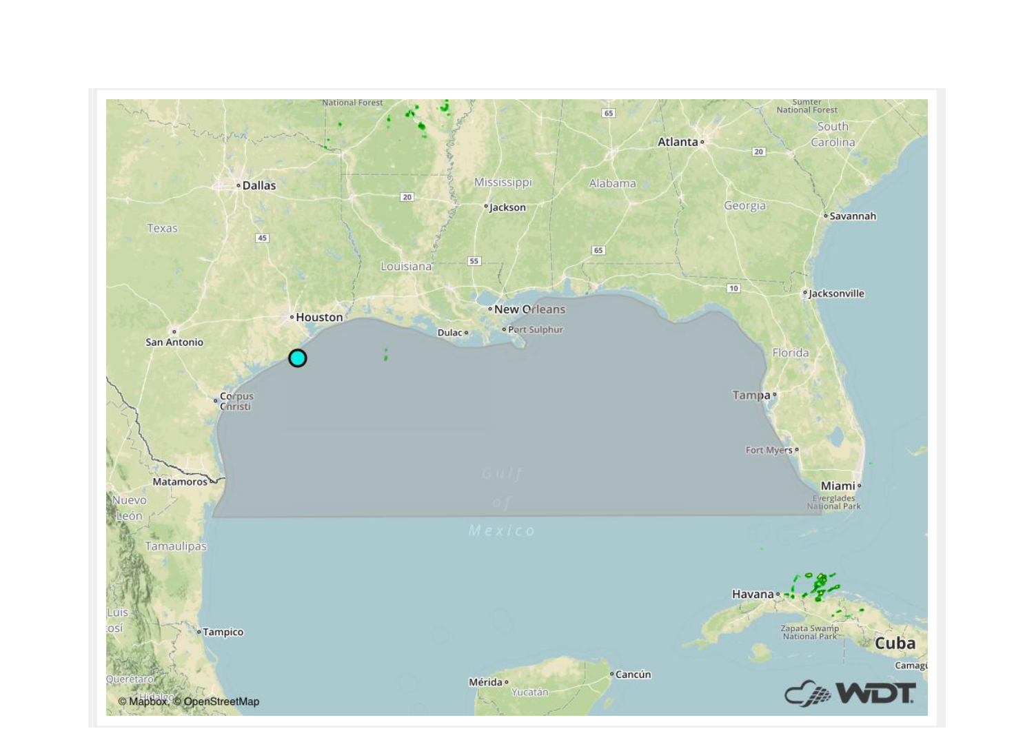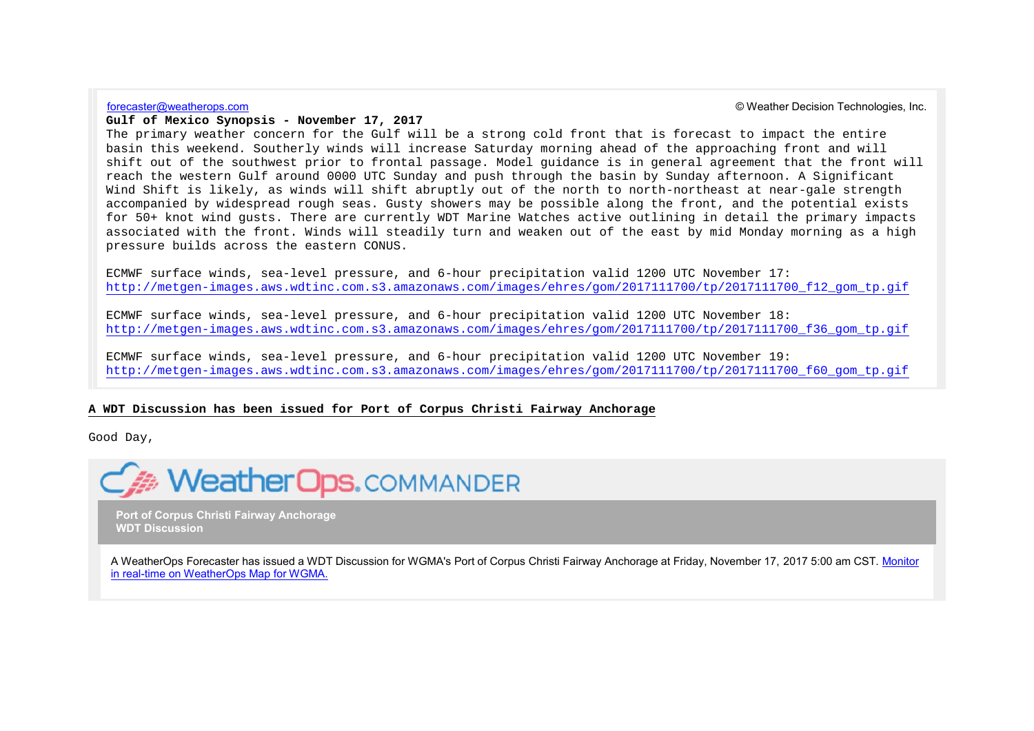## **Gulf of Mexico Synopsis - November 17, 2017**

The primary weather concern for the Gulf will be a strong cold front that is forecast to impact the entire basin this weekend. Southerly winds will increase Saturday morning ahead of the approaching front and will shift out of the southwest prior to frontal passage. Model guidance is in general agreement that the front will reach the western Gulf around 0000 UTC Sunday and push through the basin by Sunday afternoon. A Significant Wind Shift is likely, as winds will shift abruptly out of the north to north-northeast at near-gale strength accompanied by widespread rough seas. Gusty showers may be possible along the front, and the potential exists for 50+ knot wind gusts. There are currently WDT Marine Watches active outlining in detail the primary impacts associated with the front. Winds will steadily turn and weaken out of the east by mid Monday morning as a high pressure builds across the eastern CONUS.

ECMWF surface winds, sea-level pressure, and 6-hour precipitation valid 1200 UTC November 17: http://metgen-images.aws.wdtinc.com.s3.amazonaws.com/images/ehres/gom/2017111700/tp/2017111700\_f12\_gom\_tp.gif

ECMWF surface winds, sea-level pressure, and 6-hour precipitation valid 1200 UTC November 18: http://metgen-images.aws.wdtinc.com.s3.amazonaws.com/images/ehres/gom/2017111700/tp/2017111700\_f36\_gom\_tp.gif

ECMWF surface winds, sea-level pressure, and 6-hour precipitation valid 1200 UTC November 19: http://metgen-images.aws.wdtinc.com.s3.amazonaws.com/images/ehres/gom/2017111700/tp/2017111700\_f60\_gom\_tp.gif

## **A WDT Discussion has been issued for Port of Corpus Christi Fairway Anchorage**

Good Day,



**Port of Corpus Christi Fairway Anchorage WDT Discussion**

A WeatherOps Forecaster has issued a WDT Discussion for WGMA's Port of Corpus Christi Fairway Anchorage at Friday, November 17, 2017 5:00 am CST. Monitor in real-time on WeatherOps Map for WGMA.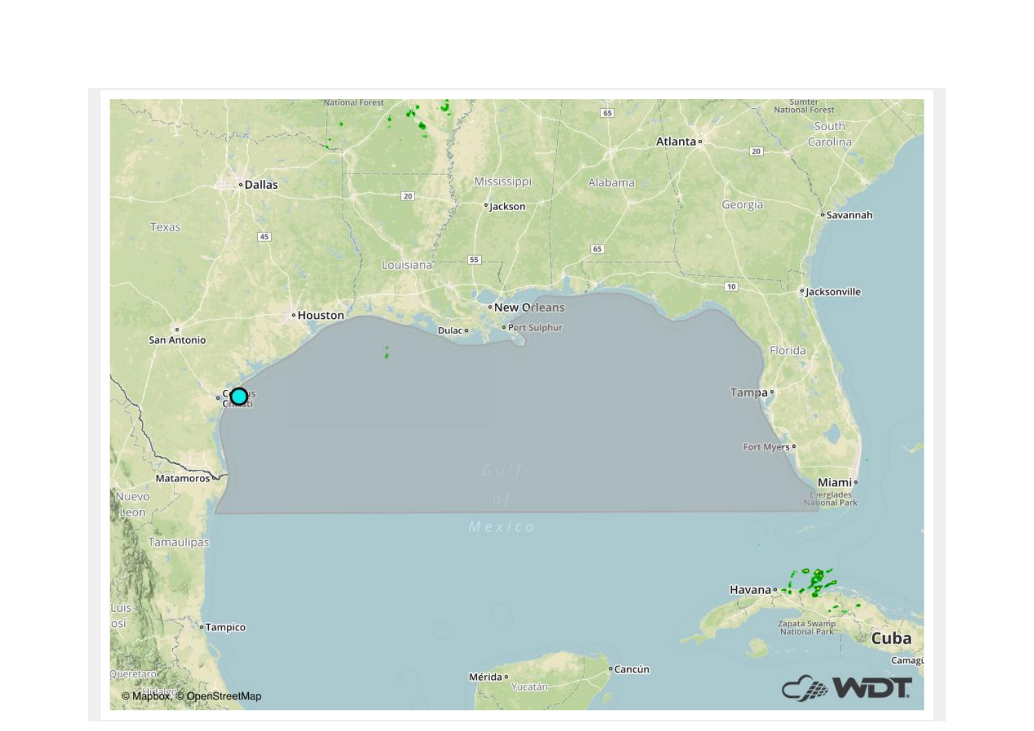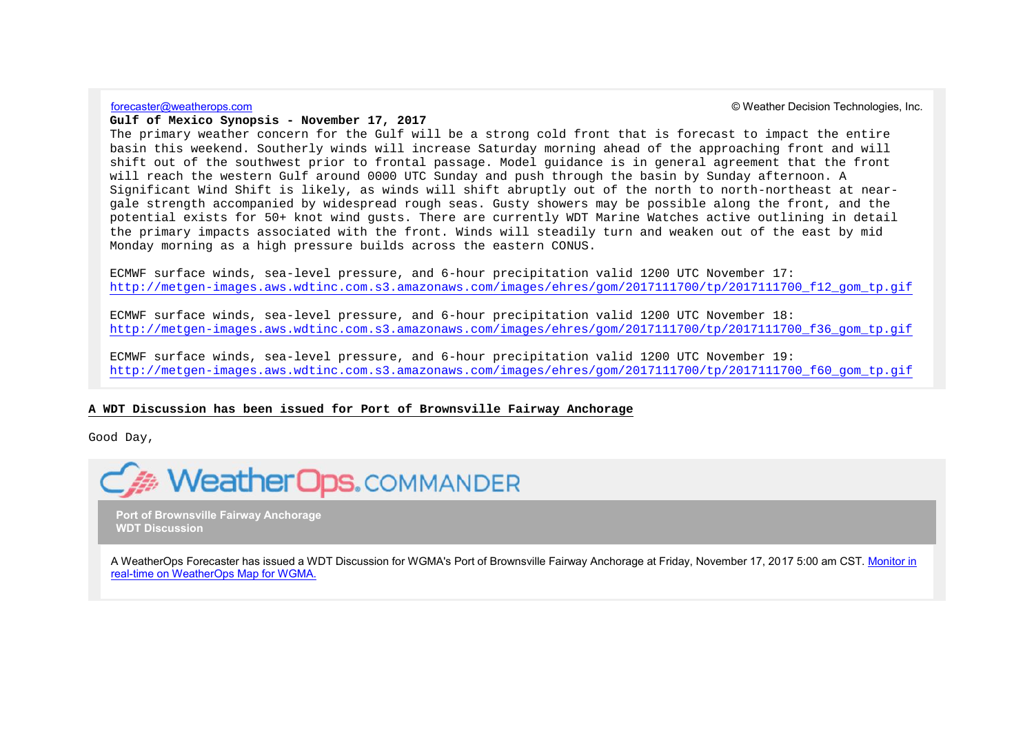## **Gulf of Mexico Synopsis - November 17, 2017**

The primary weather concern for the Gulf will be a strong cold front that is forecast to impact the entire basin this weekend. Southerly winds will increase Saturday morning ahead of the approaching front and will shift out of the southwest prior to frontal passage. Model guidance is in general agreement that the front will reach the western Gulf around 0000 UTC Sunday and push through the basin by Sunday afternoon. A Significant Wind Shift is likely, as winds will shift abruptly out of the north to north-northeast at neargale strength accompanied by widespread rough seas. Gusty showers may be possible along the front, and the potential exists for 50+ knot wind gusts. There are currently WDT Marine Watches active outlining in detail the primary impacts associated with the front. Winds will steadily turn and weaken out of the east by mid Monday morning as a high pressure builds across the eastern CONUS.

ECMWF surface winds, sea-level pressure, and 6-hour precipitation valid 1200 UTC November 17: http://metgen-images.aws.wdtinc.com.s3.amazonaws.com/images/ehres/gom/2017111700/tp/2017111700\_f12\_gom\_tp.gif

ECMWF surface winds, sea-level pressure, and 6-hour precipitation valid 1200 UTC November 18: http://metgen-images.aws.wdtinc.com.s3.amazonaws.com/images/ehres/gom/2017111700/tp/2017111700\_f36\_gom\_tp.gif

ECMWF surface winds, sea-level pressure, and 6-hour precipitation valid 1200 UTC November 19: http://metgen-images.aws.wdtinc.com.s3.amazonaws.com/images/ehres/gom/2017111700/tp/2017111700\_f60\_gom\_tp.gif

## **A WDT Discussion has been issued for Port of Brownsville Fairway Anchorage**

Good Day,



**Port of Brownsville Fairway Anchorage WDT Discussion**

A WeatherOps Forecaster has issued a WDT Discussion for WGMA's Port of Brownsville Fairway Anchorage at Friday, November 17, 2017 5:00 am CST. Monitor in real-time on WeatherOps Map for WGMA.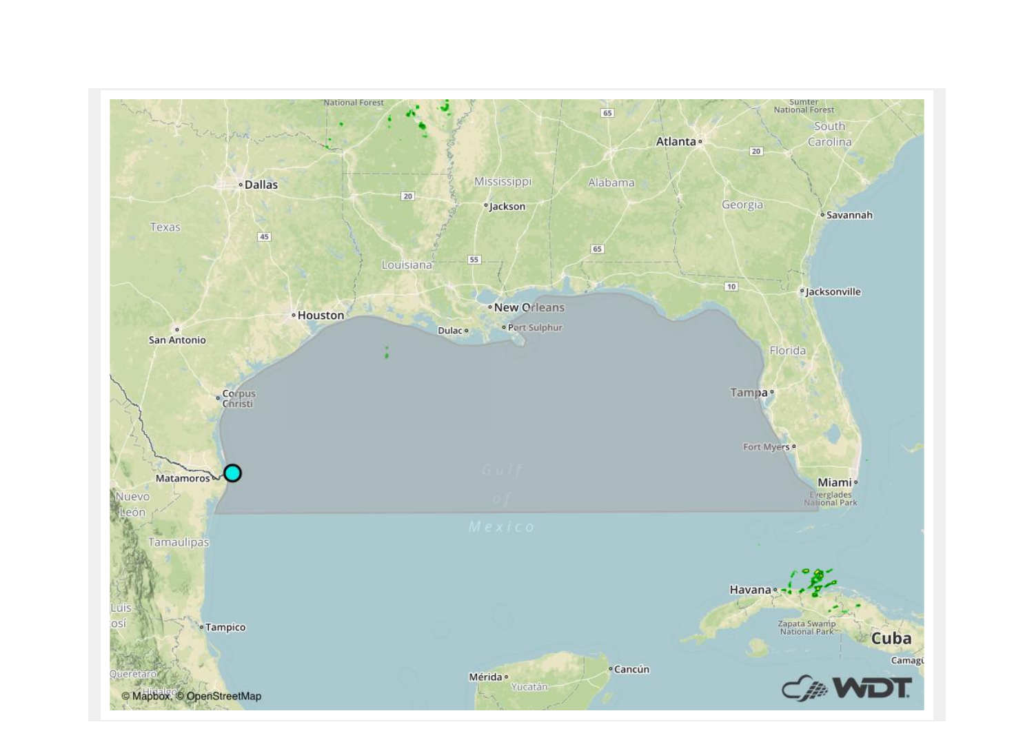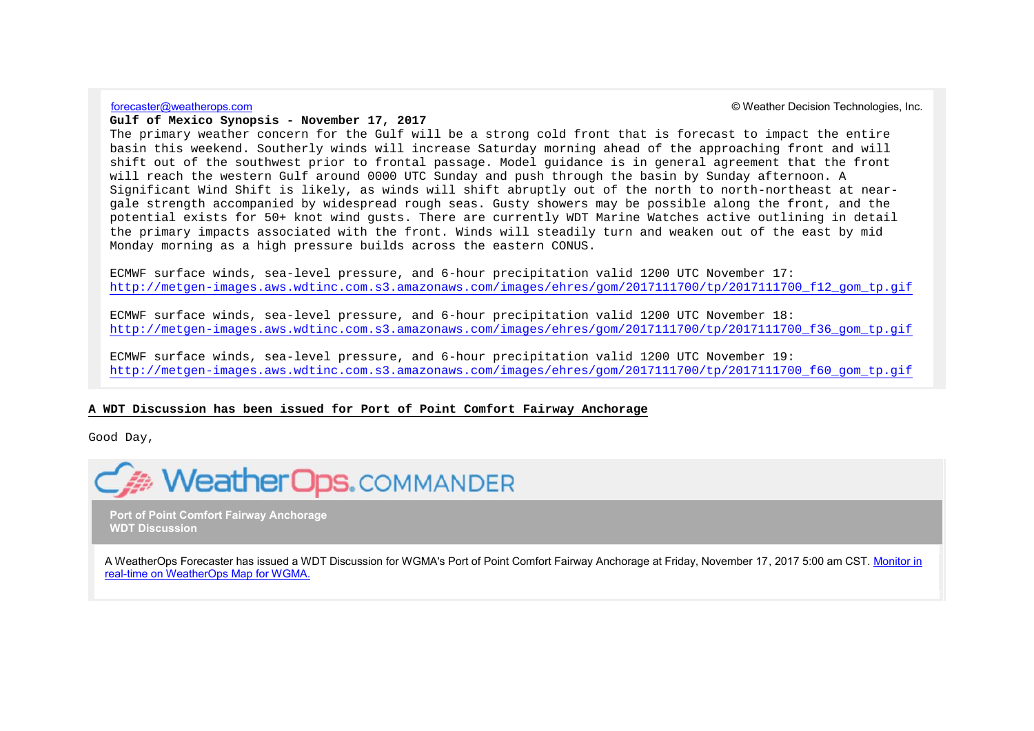## **Gulf of Mexico Synopsis - November 17, 2017**

The primary weather concern for the Gulf will be a strong cold front that is forecast to impact the entire basin this weekend. Southerly winds will increase Saturday morning ahead of the approaching front and will shift out of the southwest prior to frontal passage. Model guidance is in general agreement that the front will reach the western Gulf around 0000 UTC Sunday and push through the basin by Sunday afternoon. A Significant Wind Shift is likely, as winds will shift abruptly out of the north to north-northeast at neargale strength accompanied by widespread rough seas. Gusty showers may be possible along the front, and the potential exists for 50+ knot wind gusts. There are currently WDT Marine Watches active outlining in detail the primary impacts associated with the front. Winds will steadily turn and weaken out of the east by mid Monday morning as a high pressure builds across the eastern CONUS.

ECMWF surface winds, sea-level pressure, and 6-hour precipitation valid 1200 UTC November 17: http://metgen-images.aws.wdtinc.com.s3.amazonaws.com/images/ehres/gom/2017111700/tp/2017111700\_f12\_gom\_tp.gif

ECMWF surface winds, sea-level pressure, and 6-hour precipitation valid 1200 UTC November 18: http://metgen-images.aws.wdtinc.com.s3.amazonaws.com/images/ehres/gom/2017111700/tp/2017111700\_f36\_gom\_tp.gif

ECMWF surface winds, sea-level pressure, and 6-hour precipitation valid 1200 UTC November 19: http://metgen-images.aws.wdtinc.com.s3.amazonaws.com/images/ehres/gom/2017111700/tp/2017111700\_f60\_gom\_tp.gif

## **A WDT Discussion has been issued for Port of Point Comfort Fairway Anchorage**

Good Day,



**Port of Point Comfort Fairway Anchorage WDT Discussion**

A WeatherOps Forecaster has issued a WDT Discussion for WGMA's Port of Point Comfort Fairway Anchorage at Friday, November 17, 2017 5:00 am CST. Monitor in real-time on WeatherOps Map for WGMA.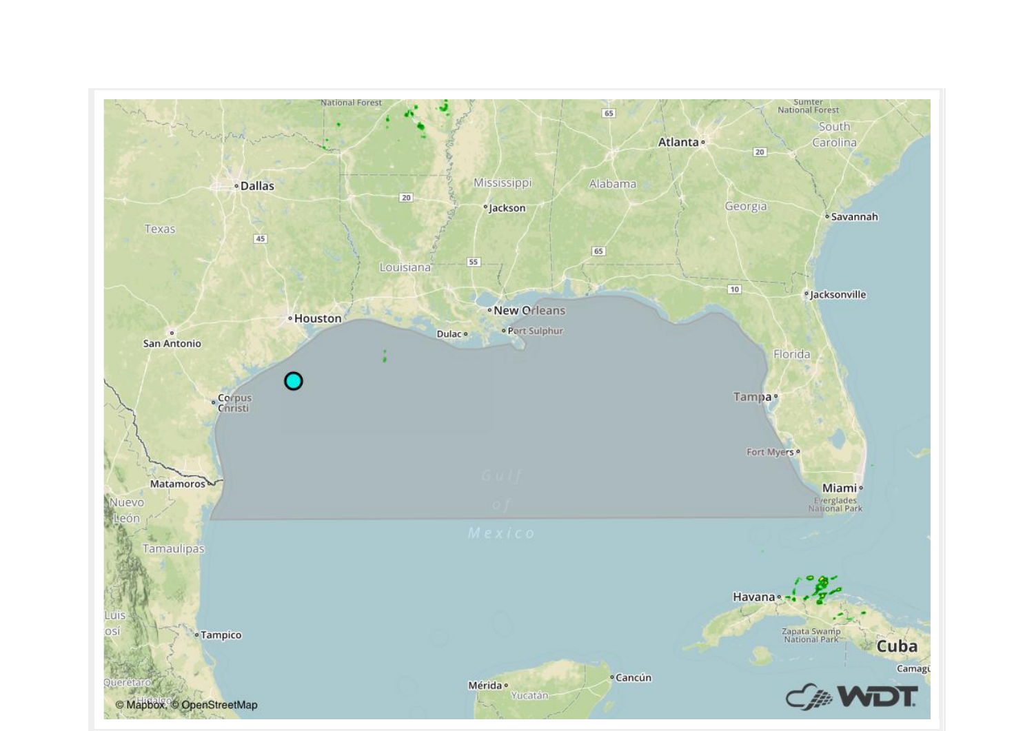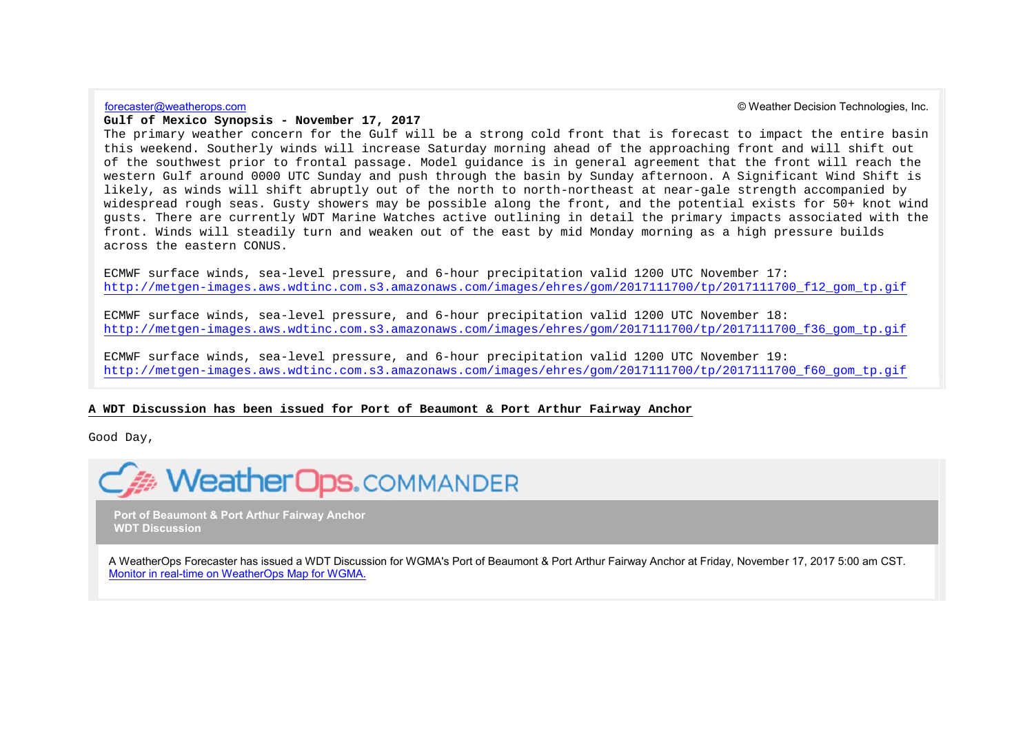## **Gulf of Mexico Synopsis - November 17, 2017**

The primary weather concern for the Gulf will be a strong cold front that is forecast to impact the entire basin this weekend. Southerly winds will increase Saturday morning ahead of the approaching front and will shift out of the southwest prior to frontal passage. Model guidance is in general agreement that the front will reach the western Gulf around 0000 UTC Sunday and push through the basin by Sunday afternoon. A Significant Wind Shift is likely, as winds will shift abruptly out of the north to north-northeast at near-gale strength accompanied by widespread rough seas. Gusty showers may be possible along the front, and the potential exists for 50+ knot wind gusts. There are currently WDT Marine Watches active outlining in detail the primary impacts associated with the front. Winds will steadily turn and weaken out of the east by mid Monday morning as a high pressure builds across the eastern CONUS.

ECMWF surface winds, sea-level pressure, and 6-hour precipitation valid 1200 UTC November 17: http://metgen-images.aws.wdtinc.com.s3.amazonaws.com/images/ehres/gom/2017111700/tp/2017111700\_f12\_gom\_tp.gif

ECMWF surface winds, sea-level pressure, and 6-hour precipitation valid 1200 UTC November 18: http://metgen-images.aws.wdtinc.com.s3.amazonaws.com/images/ehres/gom/2017111700/tp/2017111700\_f36\_gom\_tp.gif

ECMWF surface winds, sea-level pressure, and 6-hour precipitation valid 1200 UTC November 19: http://metgen-images.aws.wdtinc.com.s3.amazonaws.com/images/ehres/gom/2017111700/tp/2017111700\_f60\_gom\_tp.gif

## **A WDT Discussion has been issued for Port of Beaumont & Port Arthur Fairway Anchor**

Good Day,



**Port of Beaumont & Port Arthur Fairway Anchor WDT Discussion**

A WeatherOps Forecaster has issued a WDT Discussion for WGMA's Port of Beaumont & Port Arthur Fairway Anchor at Friday, November 17, 2017 5:00 am CST. Monitor in real-time on WeatherOps Map for WGMA.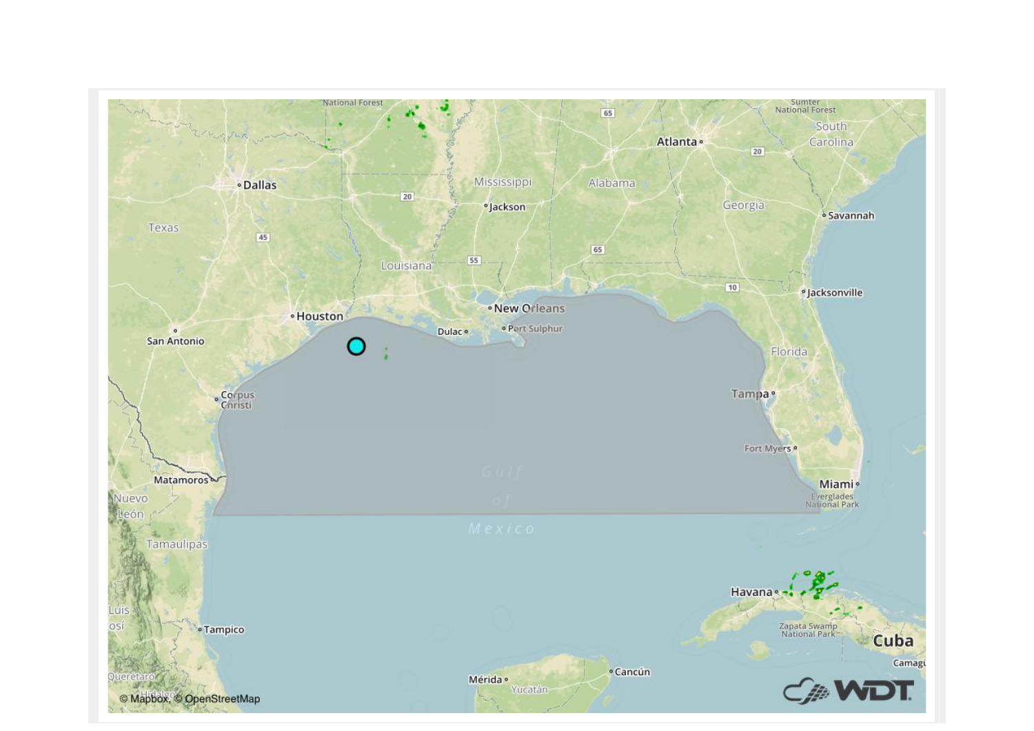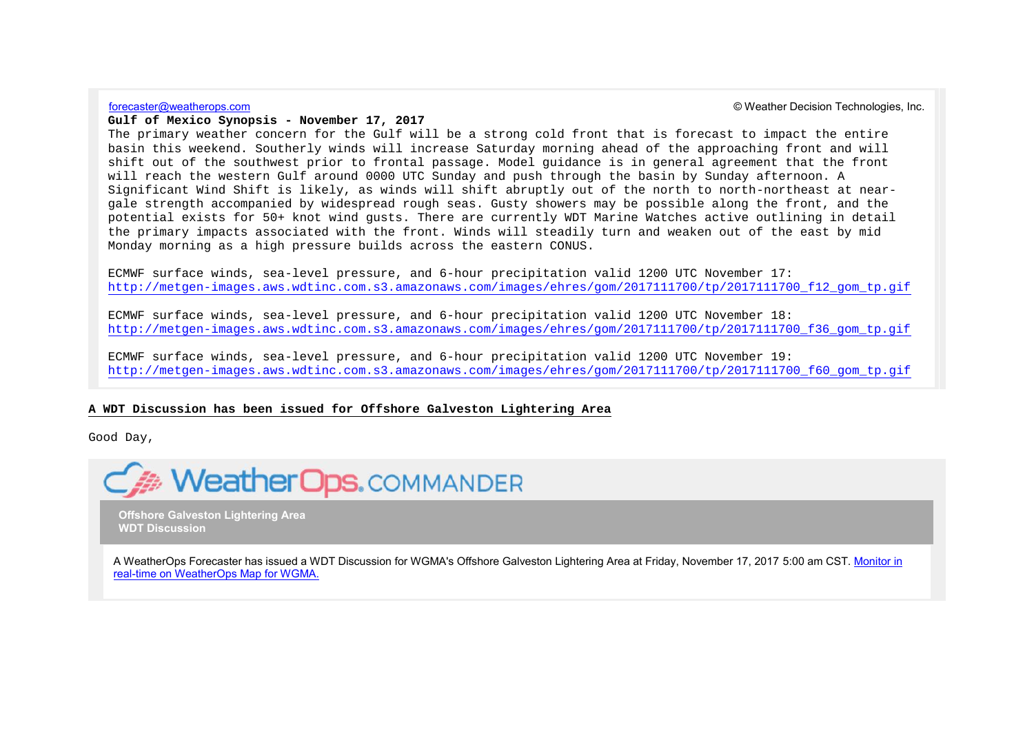## **Gulf of Mexico Synopsis - November 17, 2017**

The primary weather concern for the Gulf will be a strong cold front that is forecast to impact the entire basin this weekend. Southerly winds will increase Saturday morning ahead of the approaching front and will shift out of the southwest prior to frontal passage. Model guidance is in general agreement that the front will reach the western Gulf around 0000 UTC Sunday and push through the basin by Sunday afternoon. A Significant Wind Shift is likely, as winds will shift abruptly out of the north to north-northeast at neargale strength accompanied by widespread rough seas. Gusty showers may be possible along the front, and the potential exists for 50+ knot wind gusts. There are currently WDT Marine Watches active outlining in detail the primary impacts associated with the front. Winds will steadily turn and weaken out of the east by mid Monday morning as a high pressure builds across the eastern CONUS.

ECMWF surface winds, sea-level pressure, and 6-hour precipitation valid 1200 UTC November 17: http://metgen-images.aws.wdtinc.com.s3.amazonaws.com/images/ehres/gom/2017111700/tp/2017111700\_f12\_gom\_tp.gif

ECMWF surface winds, sea-level pressure, and 6-hour precipitation valid 1200 UTC November 18: http://metgen-images.aws.wdtinc.com.s3.amazonaws.com/images/ehres/gom/2017111700/tp/2017111700\_f36\_gom\_tp.gif

ECMWF surface winds, sea-level pressure, and 6-hour precipitation valid 1200 UTC November 19: http://metgen-images.aws.wdtinc.com.s3.amazonaws.com/images/ehres/gom/2017111700/tp/2017111700\_f60\_gom\_tp.gif

## **A WDT Discussion has been issued for Offshore Galveston Lightering Area**

Good Day,



**Offshore Galveston Lightering Area WDT Discussion**

A WeatherOps Forecaster has issued a WDT Discussion for WGMA's Offshore Galveston Lightering Area at Friday, November 17, 2017 5:00 am CST. Monitor in real-time on WeatherOps Map for WGMA.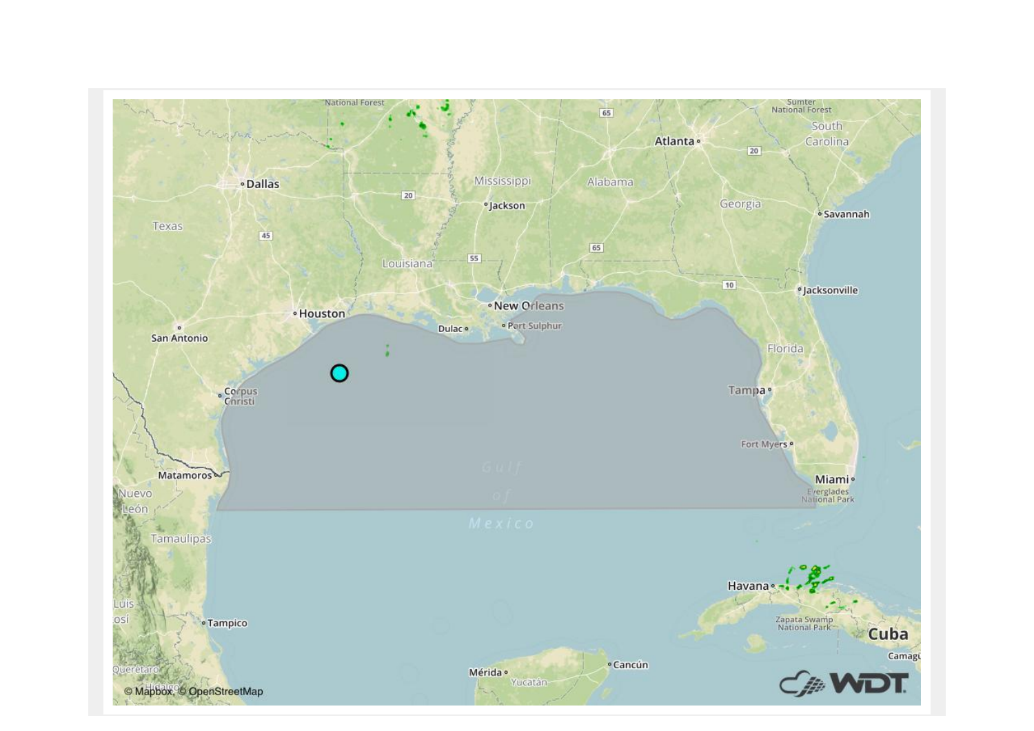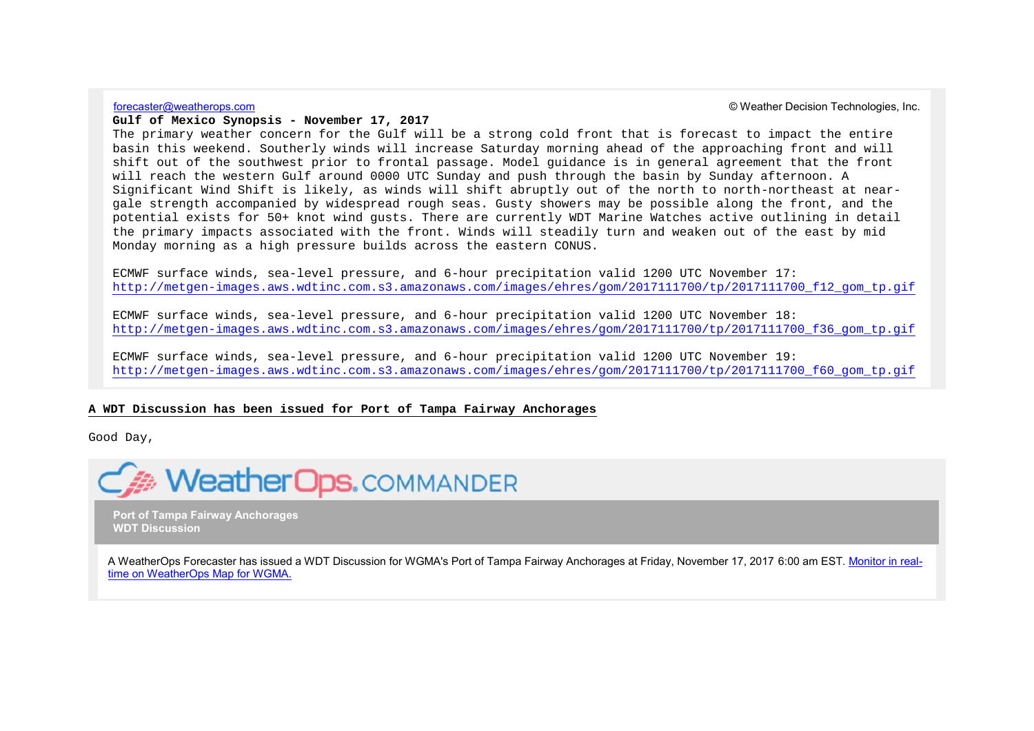## **Gulf of Mexico Synopsis - November 17, 2017**

The primary weather concern for the Gulf will be a strong cold front that is forecast to impact the entire basin this weekend. Southerly winds will increase Saturday morning ahead of the approaching front and will shift out of the southwest prior to frontal passage. Model guidance is in general agreement that the front will reach the western Gulf around 0000 UTC Sunday and push through the basin by Sunday afternoon. A Significant Wind Shift is likely, as winds will shift abruptly out of the north to north-northeast at neargale strength accompanied by widespread rough seas. Gusty showers may be possible along the front, and the potential exists for 50+ knot wind gusts. There are currently WDT Marine Watches active outlining in detail the primary impacts associated with the front. Winds will steadily turn and weaken out of the east by mid Monday morning as a high pressure builds across the eastern CONUS.

ECMWF surface winds, sea-level pressure, and 6-hour precipitation valid 1200 UTC November 17: http://metgen-images.aws.wdtinc.com.s3.amazonaws.com/images/ehres/gom/2017111700/tp/2017111700\_f12\_gom\_tp.gif

ECMWF surface winds, sea-level pressure, and 6-hour precipitation valid 1200 UTC November 18: http://metgen-images.aws.wdtinc.com.s3.amazonaws.com/images/ehres/gom/2017111700/tp/2017111700\_f36\_gom\_tp.gif

ECMWF surface winds, sea-level pressure, and 6-hour precipitation valid 1200 UTC November 19: http://metgen-images.aws.wdtinc.com.s3.amazonaws.com/images/ehres/gom/2017111700/tp/2017111700\_f60\_gom\_tp.gif

## **A WDT Discussion has been issued for Port of Tampa Fairway Anchorages**

Good Day,



**Port of Tampa Fairway Anchorages WDT Discussion**

A WeatherOps Forecaster has issued a WDT Discussion for WGMA's Port of Tampa Fairway Anchorages at Friday, November 17, 2017 6:00 am EST. Monitor in realtime on WeatherOps Map for WGMA.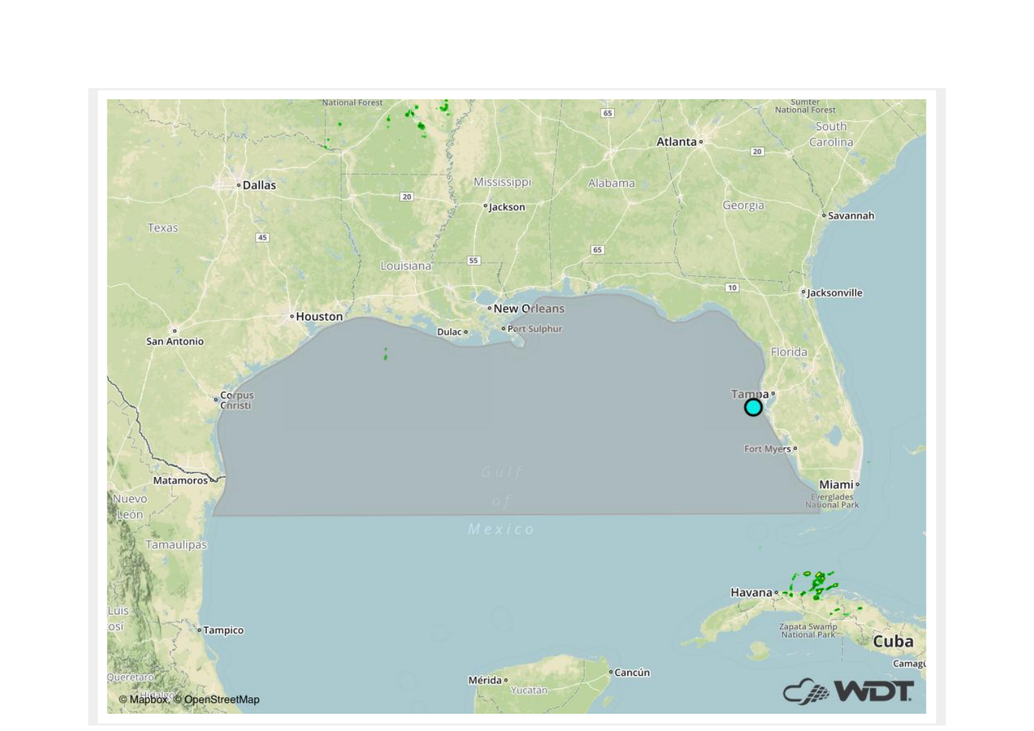